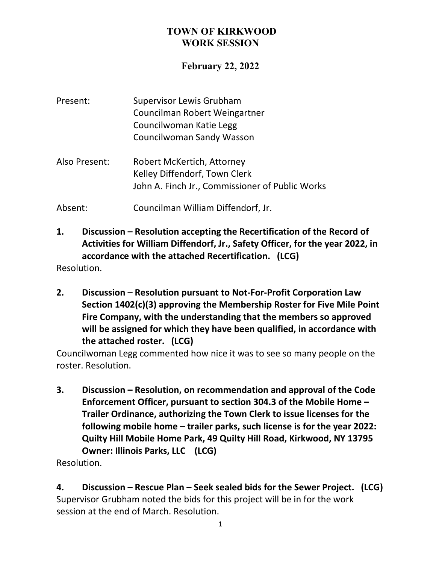## **February 22, 2022**

| Present:      | <b>Supervisor Lewis Grubham</b><br>Councilman Robert Weingartner                                               |
|---------------|----------------------------------------------------------------------------------------------------------------|
|               | Councilwoman Katie Legg<br><b>Councilwoman Sandy Wasson</b>                                                    |
| Also Present: | Robert McKertich, Attorney<br>Kelley Diffendorf, Town Clerk<br>John A. Finch Jr., Commissioner of Public Works |
| Absent:       | Councilman William Diffendorf, Jr.                                                                             |

**1. Discussion – Resolution accepting the Recertification of the Record of Activities for William Diffendorf, Jr., Safety Officer, for the year 2022, in accordance with the attached Recertification. (LCG)**

Resolution.

**2. Discussion – Resolution pursuant to Not-For-Profit Corporation Law Section 1402(c)(3) approving the Membership Roster for Five Mile Point Fire Company, with the understanding that the members so approved will be assigned for which they have been qualified, in accordance with the attached roster. (LCG)**

Councilwoman Legg commented how nice it was to see so many people on the roster. Resolution.

**3. Discussion – Resolution, on recommendation and approval of the Code Enforcement Officer, pursuant to section 304.3 of the Mobile Home – Trailer Ordinance, authorizing the Town Clerk to issue licenses for the following mobile home – trailer parks, such license is for the year 2022: Quilty Hill Mobile Home Park, 49 Quilty Hill Road, Kirkwood, NY 13795 Owner: Illinois Parks, LLC (LCG)**

Resolution.

**4. Discussion – Rescue Plan – Seek sealed bids for the Sewer Project. (LCG)** Supervisor Grubham noted the bids for this project will be in for the work session at the end of March. Resolution.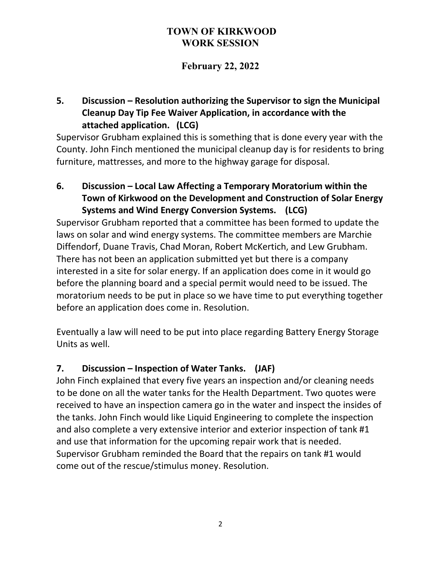# **February 22, 2022**

## **5. Discussion – Resolution authorizing the Supervisor to sign the Municipal Cleanup Day Tip Fee Waiver Application, in accordance with the attached application. (LCG)**

Supervisor Grubham explained this is something that is done every year with the County. John Finch mentioned the municipal cleanup day is for residents to bring furniture, mattresses, and more to the highway garage for disposal.

**6. Discussion – Local Law Affecting a Temporary Moratorium within the Town of Kirkwood on the Development and Construction of Solar Energy Systems and Wind Energy Conversion Systems. (LCG)**

Supervisor Grubham reported that a committee has been formed to update the laws on solar and wind energy systems. The committee members are Marchie Diffendorf, Duane Travis, Chad Moran, Robert McKertich, and Lew Grubham. There has not been an application submitted yet but there is a company interested in a site for solar energy. If an application does come in it would go before the planning board and a special permit would need to be issued. The moratorium needs to be put in place so we have time to put everything together before an application does come in. Resolution.

Eventually a law will need to be put into place regarding Battery Energy Storage Units as well.

## **7. Discussion – Inspection of Water Tanks. (JAF)**

John Finch explained that every five years an inspection and/or cleaning needs to be done on all the water tanks for the Health Department. Two quotes were received to have an inspection camera go in the water and inspect the insides of the tanks. John Finch would like Liquid Engineering to complete the inspection and also complete a very extensive interior and exterior inspection of tank #1 and use that information for the upcoming repair work that is needed. Supervisor Grubham reminded the Board that the repairs on tank #1 would come out of the rescue/stimulus money. Resolution.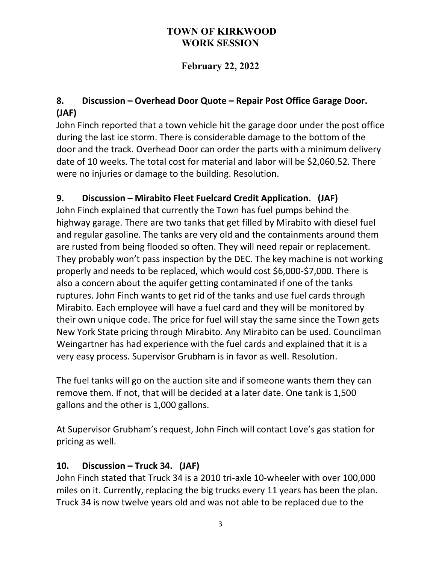# **February 22, 2022**

# **8. Discussion – Overhead Door Quote – Repair Post Office Garage Door. (JAF)**

John Finch reported that a town vehicle hit the garage door under the post office during the last ice storm. There is considerable damage to the bottom of the door and the track. Overhead Door can order the parts with a minimum delivery date of 10 weeks. The total cost for material and labor will be \$2,060.52. There were no injuries or damage to the building. Resolution.

# **9. Discussion – Mirabito Fleet Fuelcard Credit Application. (JAF)**

John Finch explained that currently the Town has fuel pumps behind the highway garage. There are two tanks that get filled by Mirabito with diesel fuel and regular gasoline. The tanks are very old and the containments around them are rusted from being flooded so often. They will need repair or replacement. They probably won't pass inspection by the DEC. The key machine is not working properly and needs to be replaced, which would cost \$6,000-\$7,000. There is also a concern about the aquifer getting contaminated if one of the tanks ruptures. John Finch wants to get rid of the tanks and use fuel cards through Mirabito. Each employee will have a fuel card and they will be monitored by their own unique code. The price for fuel will stay the same since the Town gets New York State pricing through Mirabito. Any Mirabito can be used. Councilman Weingartner has had experience with the fuel cards and explained that it is a very easy process. Supervisor Grubham is in favor as well. Resolution.

The fuel tanks will go on the auction site and if someone wants them they can remove them. If not, that will be decided at a later date. One tank is 1,500 gallons and the other is 1,000 gallons.

At Supervisor Grubham's request, John Finch will contact Love's gas station for pricing as well.

## **10. Discussion – Truck 34. (JAF)**

John Finch stated that Truck 34 is a 2010 tri-axle 10-wheeler with over 100,000 miles on it. Currently, replacing the big trucks every 11 years has been the plan. Truck 34 is now twelve years old and was not able to be replaced due to the